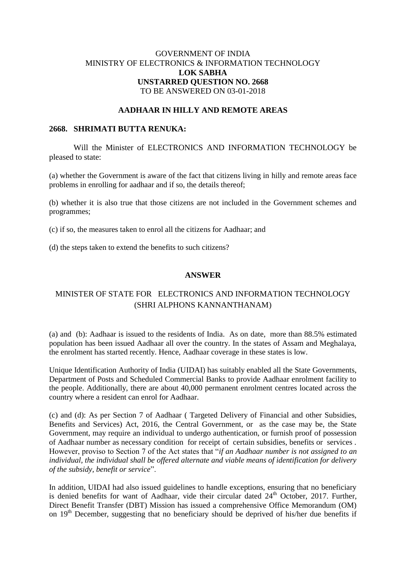## GOVERNMENT OF INDIA MINISTRY OF ELECTRONICS & INFORMATION TECHNOLOGY **LOK SABHA UNSTARRED QUESTION NO. 2668** TO BE ANSWERED ON 03-01-2018

### **AADHAAR IN HILLY AND REMOTE AREAS**

#### **2668. SHRIMATI BUTTA RENUKA:**

Will the Minister of ELECTRONICS AND INFORMATION TECHNOLOGY be pleased to state:

(a) whether the Government is aware of the fact that citizens living in hilly and remote areas face problems in enrolling for aadhaar and if so, the details thereof;

(b) whether it is also true that those citizens are not included in the Government schemes and programmes;

(c) if so, the measures taken to enrol all the citizens for Aadhaar; and

(d) the steps taken to extend the benefits to such citizens?

#### **ANSWER**

# MINISTER OF STATE FOR ELECTRONICS AND INFORMATION TECHNOLOGY (SHRI ALPHONS KANNANTHANAM)

(a) and (b): Aadhaar is issued to the residents of India. As on date, more than 88.5% estimated population has been issued Aadhaar all over the country. In the states of Assam and Meghalaya, the enrolment has started recently. Hence, Aadhaar coverage in these states is low.

Unique Identification Authority of India (UIDAI) has suitably enabled all the State Governments, Department of Posts and Scheduled Commercial Banks to provide Aadhaar enrolment facility to the people. Additionally, there are about 40,000 permanent enrolment centres located across the country where a resident can enrol for Aadhaar.

(c) and (d): As per Section 7 of Aadhaar ( Targeted Delivery of Financial and other Subsidies, Benefits and Services) Act, 2016, the Central Government, or as the case may be, the State Government, may require an individual to undergo authentication, or furnish proof of possession of Aadhaar number as necessary condition for receipt of certain subsidies, benefits or services . However, proviso to Section 7 of the Act states that "*if an Aadhaar number is not assigned to an individual, the individual shall be offered alternate and viable means of identification for delivery of the subsidy, benefit or service*".

In addition, UIDAI had also issued guidelines to handle exceptions, ensuring that no beneficiary is denied benefits for want of Aadhaar, vide their circular dated  $24<sup>th</sup>$  October, 2017. Further, Direct Benefit Transfer (DBT) Mission has issued a comprehensive Office Memorandum (OM) on  $19<sup>th</sup>$  December, suggesting that no beneficiary should be deprived of his/her due benefits if